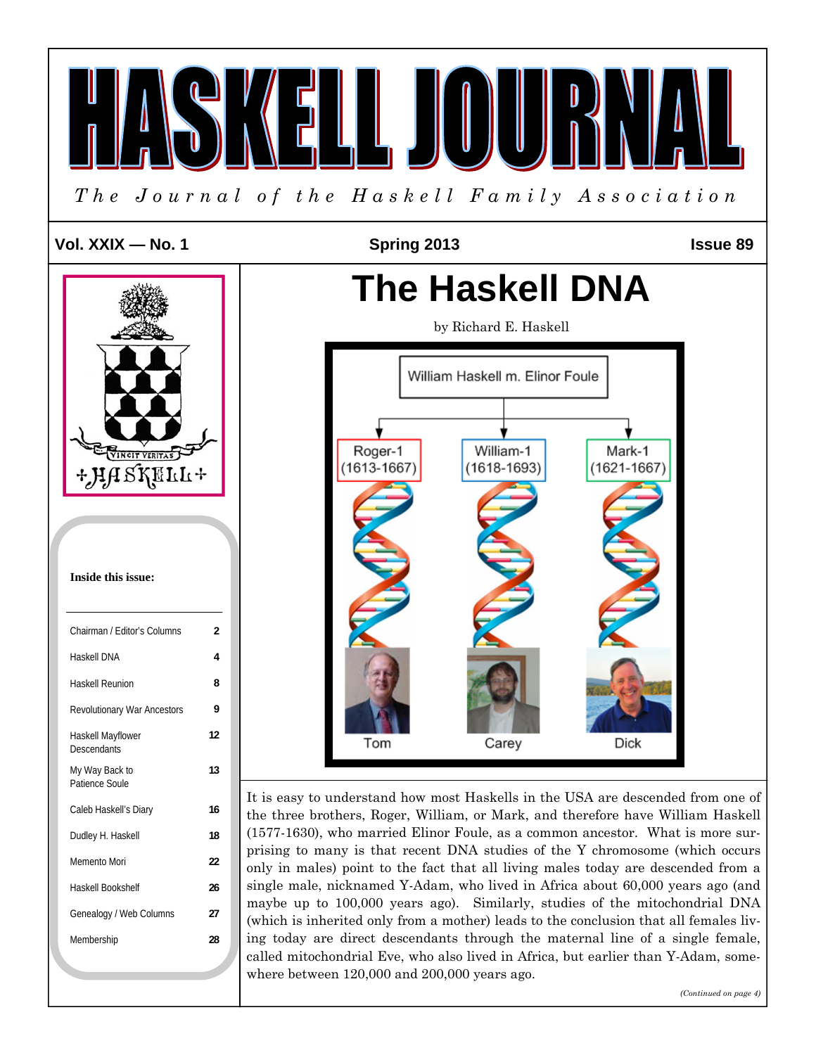

*(Continued on page 4)*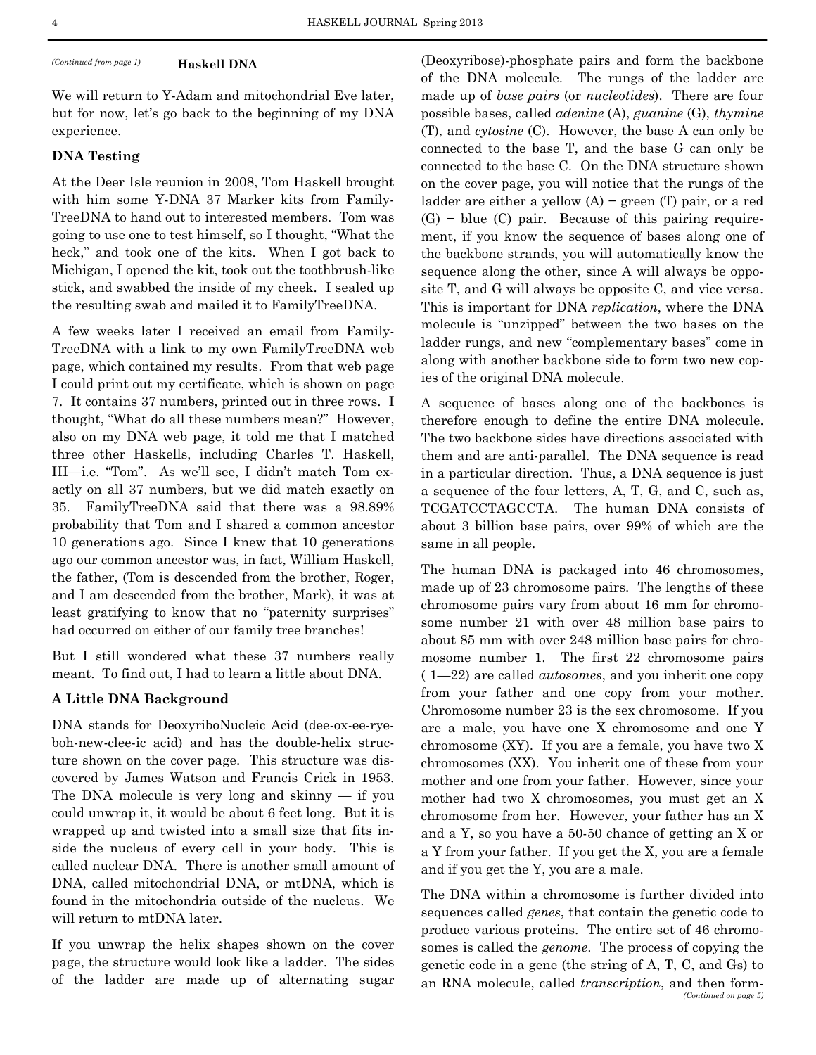### **Haskell DNA**

We will return to Y-Adam and mitochondrial Eve later, but for now, let's go back to the beginning of my DNA experience.

# **DNA Testing**

At the Deer Isle reunion in 2008, Tom Haskell brought with him some Y-DNA 37 Marker kits from Family-TreeDNA to hand out to interested members. Tom was going to use one to test himself, so I thought, "What the heck," and took one of the kits. When I got back to Michigan, I opened the kit, took out the toothbrush-like stick, and swabbed the inside of my cheek. I sealed up the resulting swab and mailed it to FamilyTreeDNA.

A few weeks later I received an email from Family-TreeDNA with a link to my own FamilyTreeDNA web page, which contained my results. From that web page I could print out my certificate, which is shown on page 7. It contains 37 numbers, printed out in three rows. I thought, "What do all these numbers mean?" However, also on my DNA web page, it told me that I matched three other Haskells, including Charles T. Haskell, III—i.e. "Tom". As we'll see, I didn't match Tom exactly on all 37 numbers, but we did match exactly on 35. FamilyTreeDNA said that there was a 98.89% probability that Tom and I shared a common ancestor 10 generations ago. Since I knew that 10 generations ago our common ancestor was, in fact, William Haskell, the father, (Tom is descended from the brother, Roger, and I am descended from the brother, Mark), it was at least gratifying to know that no "paternity surprises" had occurred on either of our family tree branches!

But I still wondered what these 37 numbers really meant. To find out, I had to learn a little about DNA.

### **A Little DNA Background**

DNA stands for DeoxyriboNucleic Acid (dee-ox-ee-ryeboh-new-clee-ic acid) and has the double-helix structure shown on the cover page. This structure was discovered by James Watson and Francis Crick in 1953. The DNA molecule is very long and skinny — if you could unwrap it, it would be about 6 feet long. But it is wrapped up and twisted into a small size that fits inside the nucleus of every cell in your body. This is called nuclear DNA. There is another small amount of DNA, called mitochondrial DNA, or mtDNA, which is found in the mitochondria outside of the nucleus. We will return to mtDNA later.

If you unwrap the helix shapes shown on the cover page, the structure would look like a ladder. The sides of the ladder are made up of alternating sugar

*(Continued from page 1)* (Deoxyribose)-phosphate pairs and form the backbone of the DNA molecule. The rungs of the ladder are made up of *base pairs* (or *nucleotides*). There are four possible bases, called *adenine* (A), *guanine* (G), *thymine*  (T), and *cytosine* (C). However, the base A can only be connected to the base T, and the base G can only be connected to the base C. On the DNA structure shown on the cover page, you will notice that the rungs of the ladder are either a yellow  $(A)$  – green  $(T)$  pair, or a red (G) − blue (C) pair. Because of this pairing requirement, if you know the sequence of bases along one of the backbone strands, you will automatically know the sequence along the other, since A will always be opposite T, and G will always be opposite C, and vice versa. This is important for DNA *replication*, where the DNA molecule is "unzipped" between the two bases on the ladder rungs, and new "complementary bases" come in along with another backbone side to form two new copies of the original DNA molecule.

> A sequence of bases along one of the backbones is therefore enough to define the entire DNA molecule. The two backbone sides have directions associated with them and are anti-parallel. The DNA sequence is read in a particular direction. Thus, a DNA sequence is just a sequence of the four letters, A, T, G, and C, such as, TCGATCCTAGCCTA. The human DNA consists of about 3 billion base pairs, over 99% of which are the same in all people.

> The human DNA is packaged into 46 chromosomes, made up of 23 chromosome pairs. The lengths of these chromosome pairs vary from about 16 mm for chromosome number 21 with over 48 million base pairs to about 85 mm with over 248 million base pairs for chromosome number 1. The first 22 chromosome pairs ( 1—22) are called *autosomes*, and you inherit one copy from your father and one copy from your mother. Chromosome number 23 is the sex chromosome. If you are a male, you have one X chromosome and one Y chromosome (XY). If you are a female, you have two X chromosomes (XX). You inherit one of these from your mother and one from your father. However, since your mother had two X chromosomes, you must get an X chromosome from her. However, your father has an X and a Y, so you have a 50-50 chance of getting an X or a Y from your father. If you get the X, you are a female and if you get the Y, you are a male.

> The DNA within a chromosome is further divided into sequences called *genes*, that contain the genetic code to produce various proteins. The entire set of 46 chromosomes is called the *genome*. The process of copying the genetic code in a gene (the string of A, T, C, and Gs) to an RNA molecule, called *transcription*, and then form- *(Continued on page 5)*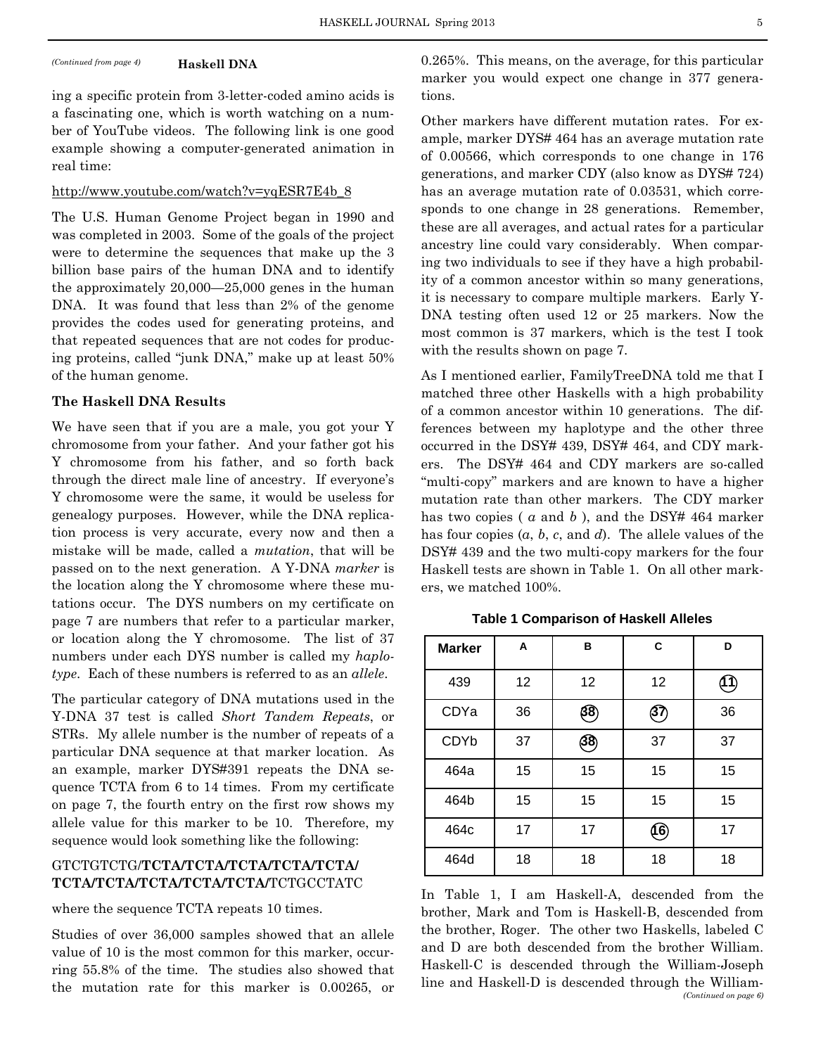**Haskell DNA** 

ing a specific protein from 3-letter-coded amino acids is a fascinating one, which is worth watching on a number of YouTube videos. The following link is one good example showing a computer-generated animation in real time:

# http://www.youtube.com/watch?v=yqESR7E4b\_8

The U.S. Human Genome Project began in 1990 and was completed in 2003. Some of the goals of the project were to determine the sequences that make up the 3 billion base pairs of the human DNA and to identify the approximately 20,000—25,000 genes in the human DNA. It was found that less than 2% of the genome provides the codes used for generating proteins, and that repeated sequences that are not codes for producing proteins, called "junk DNA," make up at least 50% of the human genome.

#### **The Haskell DNA Results**

We have seen that if you are a male, you got your Y chromosome from your father. And your father got his Y chromosome from his father, and so forth back through the direct male line of ancestry. If everyone's Y chromosome were the same, it would be useless for genealogy purposes. However, while the DNA replication process is very accurate, every now and then a mistake will be made, called a *mutation*, that will be passed on to the next generation. A Y-DNA *marker* is the location along the Y chromosome where these mutations occur. The DYS numbers on my certificate on page 7 are numbers that refer to a particular marker, or location along the Y chromosome. The list of 37 numbers under each DYS number is called my *haplotype*. Each of these numbers is referred to as an *allele*.

The particular category of DNA mutations used in the Y-DNA 37 test is called *Short Tandem Repeats*, or STRs. My allele number is the number of repeats of a particular DNA sequence at that marker location. As an example, marker DYS#391 repeats the DNA sequence TCTA from 6 to 14 times. From my certificate on page 7, the fourth entry on the first row shows my allele value for this marker to be 10. Therefore, my sequence would look something like the following:

# GTCTGTCTG/**TCTA/TCTA/TCTA/TCTA/TCTA/ TCTA/TCTA/TCTA/TCTA/TCTA/**TCTGCCTATC

where the sequence TCTA repeats 10 times.

Studies of over 36,000 samples showed that an allele value of 10 is the most common for this marker, occurring 55.8% of the time. The studies also showed that the mutation rate for this marker is 0.00265, or

*(Continued from page 4)* 0.265%. This means, on the average, for this particular marker you would expect one change in 377 generations.

> Other markers have different mutation rates. For example, marker DYS# 464 has an average mutation rate of 0.00566, which corresponds to one change in 176 generations, and marker CDY (also know as DYS# 724) has an average mutation rate of 0.03531, which corresponds to one change in 28 generations. Remember, these are all averages, and actual rates for a particular ancestry line could vary considerably. When comparing two individuals to see if they have a high probability of a common ancestor within so many generations, it is necessary to compare multiple markers. Early Y-DNA testing often used 12 or 25 markers. Now the most common is 37 markers, which is the test I took with the results shown on page 7.

> As I mentioned earlier, FamilyTreeDNA told me that I matched three other Haskells with a high probability of a common ancestor within 10 generations. The differences between my haplotype and the other three occurred in the DSY# 439, DSY# 464, and CDY markers. The DSY# 464 and CDY markers are so-called "multi-copy" markers and are known to have a higher mutation rate than other markers. The CDY marker has two copies (*a* and *b*), and the DSY# 464 marker has four copies (*a*, *b*, *c*, and *d*). The allele values of the DSY# 439 and the two multi-copy markers for the four Haskell tests are shown in Table 1. On all other markers, we matched 100%.

**Table 1 Comparison of Haskell Alleles** 

| <b>Marker</b> | A  | в  | C    | D  |
|---------------|----|----|------|----|
| 439           | 12 | 12 | 12   | 11 |
| CDYa          | 36 | 38 | 37   | 36 |
| CDYb          | 37 | 38 | 37   | 37 |
| 464a          | 15 | 15 | 15   | 15 |
| 464b          | 15 | 15 | 15   | 15 |
| 464c          | 17 | 17 | (16) | 17 |
| 464d          | 18 | 18 | 18   | 18 |

In Table 1, I am Haskell-A, descended from the brother, Mark and Tom is Haskell-B, descended from the brother, Roger. The other two Haskells, labeled C and D are both descended from the brother William. Haskell-C is descended through the William-Joseph line and Haskell-D is descended through the William- *(Continued on page 6)*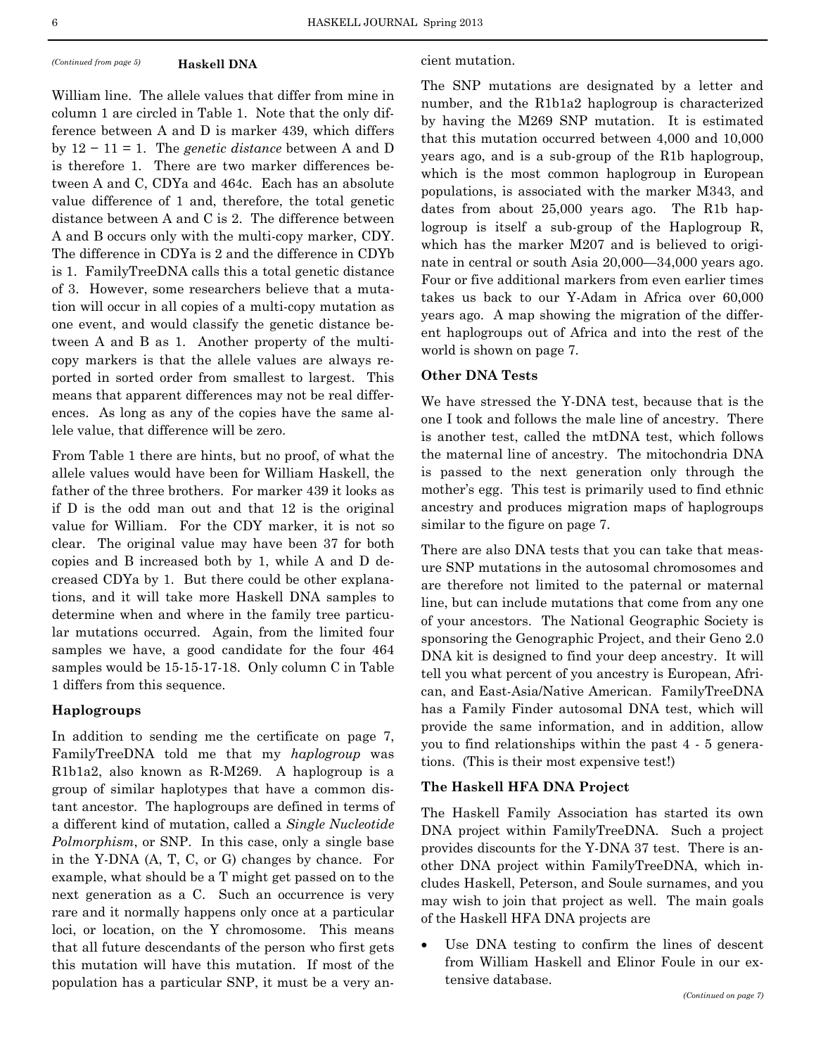#### *(Continued from page 5)* **Haskell DNA** cient mutation. **Haskell DNA**

William line. The allele values that differ from mine in column 1 are circled in Table 1. Note that the only difference between A and D is marker 439, which differs by 12 − 11 = 1. The *genetic distance* between A and D is therefore 1. There are two marker differences between A and C, CDYa and 464c. Each has an absolute value difference of 1 and, therefore, the total genetic distance between A and C is 2. The difference between A and B occurs only with the multi-copy marker, CDY. The difference in CDYa is 2 and the difference in CDYb is 1. FamilyTreeDNA calls this a total genetic distance of 3. However, some researchers believe that a mutation will occur in all copies of a multi-copy mutation as one event, and would classify the genetic distance between A and B as 1. Another property of the multicopy markers is that the allele values are always reported in sorted order from smallest to largest. This means that apparent differences may not be real differences. As long as any of the copies have the same allele value, that difference will be zero.

From Table 1 there are hints, but no proof, of what the allele values would have been for William Haskell, the father of the three brothers. For marker 439 it looks as if D is the odd man out and that 12 is the original value for William. For the CDY marker, it is not so clear. The original value may have been 37 for both copies and B increased both by 1, while A and D decreased CDYa by 1. But there could be other explanations, and it will take more Haskell DNA samples to determine when and where in the family tree particular mutations occurred. Again, from the limited four samples we have, a good candidate for the four 464 samples would be 15-15-17-18. Only column C in Table 1 differs from this sequence.

# **Haplogroups**

In addition to sending me the certificate on page 7, FamilyTreeDNA told me that my *haplogroup* was R1b1a2, also known as R-M269. A haplogroup is a group of similar haplotypes that have a common distant ancestor. The haplogroups are defined in terms of a different kind of mutation, called a *Single Nucleotide Polmorphism*, or SNP. In this case, only a single base in the Y-DNA (A, T, C, or G) changes by chance. For example, what should be a T might get passed on to the next generation as a C. Such an occurrence is very rare and it normally happens only once at a particular loci, or location, on the Y chromosome. This means that all future descendants of the person who first gets this mutation will have this mutation. If most of the population has a particular SNP, it must be a very an-

The SNP mutations are designated by a letter and number, and the R1b1a2 haplogroup is characterized by having the M269 SNP mutation. It is estimated that this mutation occurred between 4,000 and 10,000 years ago, and is a sub-group of the R1b haplogroup, which is the most common haplogroup in European populations, is associated with the marker M343, and dates from about 25,000 years ago. The R1b haplogroup is itself a sub-group of the Haplogroup R, which has the marker M207 and is believed to originate in central or south Asia 20,000—34,000 years ago. Four or five additional markers from even earlier times takes us back to our Y-Adam in Africa over 60,000 years ago. A map showing the migration of the different haplogroups out of Africa and into the rest of the world is shown on page 7.

# **Other DNA Tests**

We have stressed the Y-DNA test, because that is the one I took and follows the male line of ancestry. There is another test, called the mtDNA test, which follows the maternal line of ancestry. The mitochondria DNA is passed to the next generation only through the mother's egg. This test is primarily used to find ethnic ancestry and produces migration maps of haplogroups similar to the figure on page 7.

There are also DNA tests that you can take that measure SNP mutations in the autosomal chromosomes and are therefore not limited to the paternal or maternal line, but can include mutations that come from any one of your ancestors. The National Geographic Society is sponsoring the Genographic Project, and their Geno 2.0 DNA kit is designed to find your deep ancestry. It will tell you what percent of you ancestry is European, African, and East-Asia/Native American. FamilyTreeDNA has a Family Finder autosomal DNA test, which will provide the same information, and in addition, allow you to find relationships within the past 4 - 5 generations. (This is their most expensive test!)

### **The Haskell HFA DNA Project**

The Haskell Family Association has started its own DNA project within FamilyTreeDNA. Such a project provides discounts for the Y-DNA 37 test. There is another DNA project within FamilyTreeDNA, which includes Haskell, Peterson, and Soule surnames, and you may wish to join that project as well. The main goals of the Haskell HFA DNA projects are

 Use DNA testing to confirm the lines of descent from William Haskell and Elinor Foule in our extensive database.